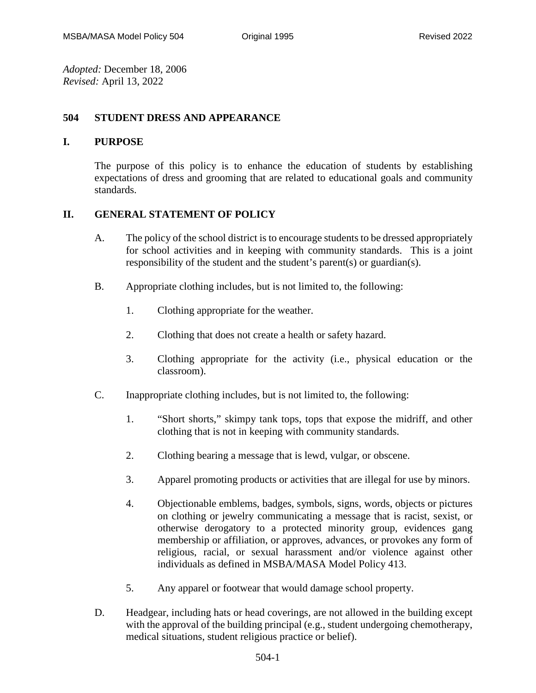*Adopted:* December 18, 2006 *Revised:* April 13, 2022

## **504 STUDENT DRESS AND APPEARANCE**

## **I. PURPOSE**

The purpose of this policy is to enhance the education of students by establishing expectations of dress and grooming that are related to educational goals and community standards.

## **II. GENERAL STATEMENT OF POLICY**

- A. The policy of the school district is to encourage students to be dressed appropriately for school activities and in keeping with community standards. This is a joint responsibility of the student and the student's parent(s) or guardian(s).
- B. Appropriate clothing includes, but is not limited to, the following:
	- 1. Clothing appropriate for the weather.
	- 2. Clothing that does not create a health or safety hazard.
	- 3. Clothing appropriate for the activity (i.e., physical education or the classroom).
- C. Inappropriate clothing includes, but is not limited to, the following:
	- 1. "Short shorts," skimpy tank tops, tops that expose the midriff, and other clothing that is not in keeping with community standards.
	- 2. Clothing bearing a message that is lewd, vulgar, or obscene.
	- 3. Apparel promoting products or activities that are illegal for use by minors.
	- 4. Objectionable emblems, badges, symbols, signs, words, objects or pictures on clothing or jewelry communicating a message that is racist, sexist, or otherwise derogatory to a protected minority group, evidences gang membership or affiliation, or approves, advances, or provokes any form of religious, racial, or sexual harassment and/or violence against other individuals as defined in MSBA/MASA Model Policy 413.
	- 5. Any apparel or footwear that would damage school property.
- D. Headgear, including hats or head coverings, are not allowed in the building except with the approval of the building principal (e.g., student undergoing chemotherapy, medical situations, student religious practice or belief).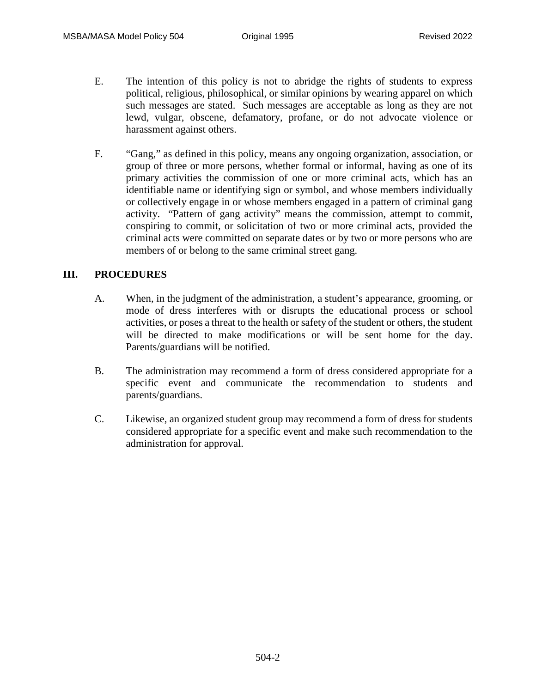- E. The intention of this policy is not to abridge the rights of students to express political, religious, philosophical, or similar opinions by wearing apparel on which such messages are stated. Such messages are acceptable as long as they are not lewd, vulgar, obscene, defamatory, profane, or do not advocate violence or harassment against others.
- F. "Gang," as defined in this policy, means any ongoing organization, association, or group of three or more persons, whether formal or informal, having as one of its primary activities the commission of one or more criminal acts, which has an identifiable name or identifying sign or symbol, and whose members individually or collectively engage in or whose members engaged in a pattern of criminal gang activity. "Pattern of gang activity" means the commission, attempt to commit, conspiring to commit, or solicitation of two or more criminal acts, provided the criminal acts were committed on separate dates or by two or more persons who are members of or belong to the same criminal street gang.

## **III. PROCEDURES**

- A. When, in the judgment of the administration, a student's appearance, grooming, or mode of dress interferes with or disrupts the educational process or school activities, or poses a threat to the health or safety of the student or others, the student will be directed to make modifications or will be sent home for the day. Parents/guardians will be notified.
- B. The administration may recommend a form of dress considered appropriate for a specific event and communicate the recommendation to students and parents/guardians.
- C. Likewise, an organized student group may recommend a form of dress for students considered appropriate for a specific event and make such recommendation to the administration for approval.